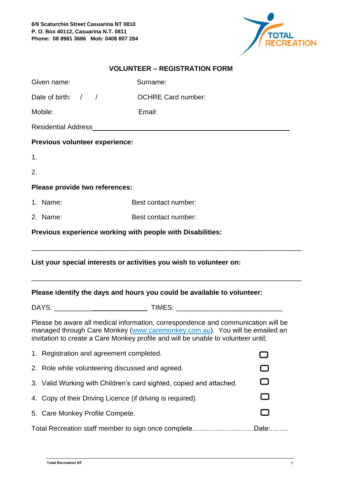

| Given name:                                                                                                                                                                                                                                           | Surname:                  |  |  |  |
|-------------------------------------------------------------------------------------------------------------------------------------------------------------------------------------------------------------------------------------------------------|---------------------------|--|--|--|
| Date of birth: $/$ /                                                                                                                                                                                                                                  | <b>OCHRE Card number:</b> |  |  |  |
| Mobile:                                                                                                                                                                                                                                               | Email:                    |  |  |  |
|                                                                                                                                                                                                                                                       |                           |  |  |  |
| Previous volunteer experience:                                                                                                                                                                                                                        |                           |  |  |  |
| 1.                                                                                                                                                                                                                                                    |                           |  |  |  |
| 2.                                                                                                                                                                                                                                                    |                           |  |  |  |
| Please provide two references:                                                                                                                                                                                                                        |                           |  |  |  |
| 1. Name:                                                                                                                                                                                                                                              | Best contact number:      |  |  |  |
| 2. Name:                                                                                                                                                                                                                                              | Best contact number:      |  |  |  |
| Previous experience working with people with Disabilities:                                                                                                                                                                                            |                           |  |  |  |
| List your special interests or activities you wish to volunteer on:                                                                                                                                                                                   |                           |  |  |  |
| Please identify the days and hours you could be available to volunteer:                                                                                                                                                                               |                           |  |  |  |
|                                                                                                                                                                                                                                                       |                           |  |  |  |
| Please be aware all medical information, correspondence and communication will be<br>managed through Care Monkey (www.caremonkey.com.au). You will be emailed an<br>invitation to create a Care Monkey profile and will be unable to volunteer until; |                           |  |  |  |

| 1. Registration and agreement completed.                            |  |  |
|---------------------------------------------------------------------|--|--|
| 2. Role while volunteering discussed and agreed.                    |  |  |
| 3. Valid Working with Children's card sighted, copied and attached. |  |  |
| 4. Copy of their Driving Licence (if driving is required).          |  |  |
| 5. Care Monkey Profile Compete.                                     |  |  |
| Total Recreation staff member to sign once completeDate:            |  |  |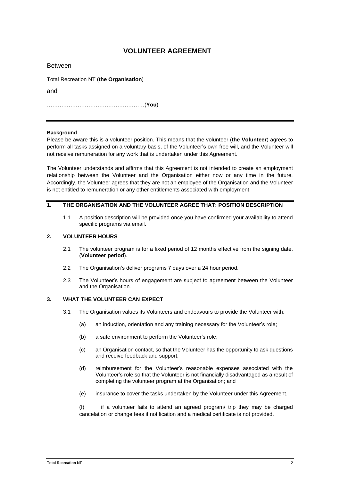# **VOLUNTEER AGREEMENT**

| <b>Between</b>                         |
|----------------------------------------|
| Total Recreation NT (the Organisation) |
| and                                    |
|                                        |

### **Background**

Please be aware this is a volunteer position. This means that the volunteer (**the Volunteer**) agrees to perform all tasks assigned on a voluntary basis, of the Volunteer's own free will, and the Volunteer will not receive remuneration for any work that is undertaken under this Agreement.

The Volunteer understands and affirms that this Agreement is not intended to create an employment relationship between the Volunteer and the Organisation either now or any time in the future. Accordingly, the Volunteer agrees that they are not an employee of the Organisation and the Volunteer is not entitled to remuneration or any other entitlements associated with employment.

# **1. THE ORGANISATION AND THE VOLUNTEER AGREE THAT: POSITION DESCRIPTION**

1.1 A position description will be provided once you have confirmed your availability to attend specific programs via email.

## **2. VOLUNTEER HOURS**

- 2.1 The volunteer program is for a fixed period of 12 months effective from the signing date. (**Volunteer period**).
- 2.2 The Organisation's deliver programs 7 days over a 24 hour period.
- 2.3 The Volunteer's hours of engagement are subject to agreement between the Volunteer and the Organisation.

## **3. WHAT THE VOLUNTEER CAN EXPECT**

- 3.1 The Organisation values its Volunteers and endeavours to provide the Volunteer with:
	- (a) an induction, orientation and any training necessary for the Volunteer's role;
	- (b) a safe environment to perform the Volunteer's role;
	- (c) an Organisation contact, so that the Volunteer has the opportunity to ask questions and receive feedback and support;
	- (d) reimbursement for the Volunteer's reasonable expenses associated with the Volunteer's role so that the Volunteer is not financially disadvantaged as a result of completing the volunteer program at the Organisation; and
	- (e) insurance to cover the tasks undertaken by the Volunteer under this Agreement.

(f) if a volunteer fails to attend an agreed program/ trip they may be charged cancelation or change fees if notification and a medical certificate is not provided.